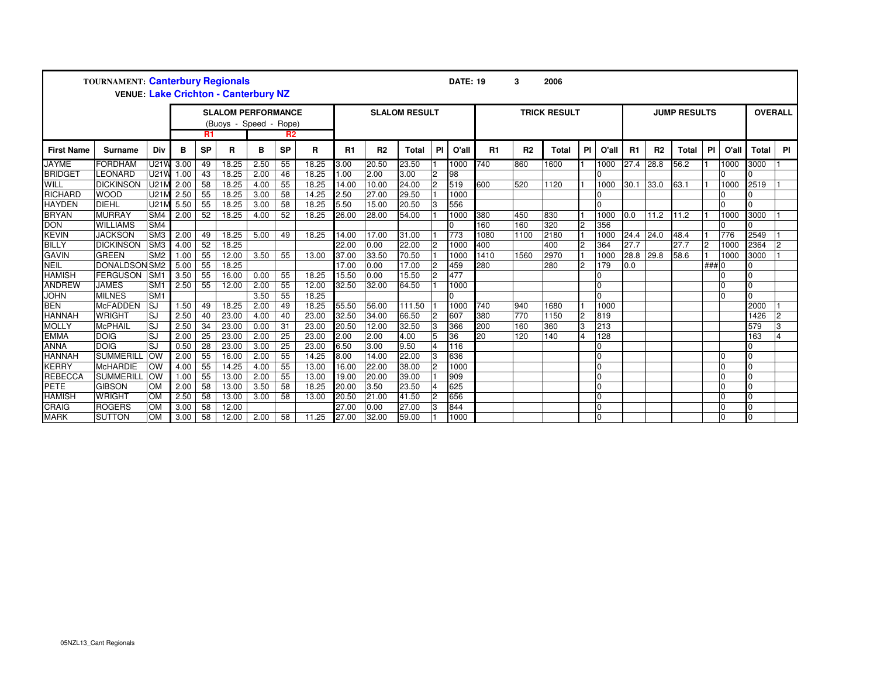| TOURNAMENT: Canterbury Regionals<br><b>VENUE: Lake Crichton - Canterbury NZ</b> |                      |                 |                                                                             |                 |       |      |                 |                      |       |                |              |           | <b>DATE: 19</b>     |      | 3              | 2006         |                |                     |           |                |              |           |                |              |    |
|---------------------------------------------------------------------------------|----------------------|-----------------|-----------------------------------------------------------------------------|-----------------|-------|------|-----------------|----------------------|-------|----------------|--------------|-----------|---------------------|------|----------------|--------------|----------------|---------------------|-----------|----------------|--------------|-----------|----------------|--------------|----|
|                                                                                 |                      |                 | <b>SLALOM PERFORMANCE</b><br>(Buoys - Speed - Rope)<br>R1<br>R <sub>2</sub> |                 |       |      |                 | <b>SLALOM RESULT</b> |       |                |              |           | <b>TRICK RESULT</b> |      |                |              |                | <b>JUMP RESULTS</b> |           |                |              |           | <b>OVERALL</b> |              |    |
| <b>First Name</b>                                                               | <b>Surname</b>       | Div             | в                                                                           | <b>SP</b>       | R     | в    | <b>SP</b>       | R                    | R1    | R <sub>2</sub> | <b>Total</b> | <b>PI</b> | O'all               | R1   | R <sub>2</sub> | <b>Total</b> | <b>PI</b>      | O'all               | <b>R1</b> | R <sub>2</sub> | <b>Total</b> | <b>PI</b> | O'all          | <b>Total</b> | PI |
| <b>JAYME</b>                                                                    | <b>FORDHAM</b>       | U21V            | 3.00                                                                        | 49              | 18.25 | 2.50 | 55              | 18.25                | 3.00  | 20.50          | 23.50        |           | 1000                | 740  | 860            | 1600         |                | 1000                | 27.4      | 28.8           | 56.2         |           | 1000           | 3000         |    |
| <b>BRIDGET</b>                                                                  | LEONARD              | U21V            | 1.00                                                                        | 43              | 18.25 | 2.00 | 46              | 18.25                | 1.00  | 2.00           | 3.00         |           | 98                  |      |                |              |                | $\Omega$            |           |                |              |           | 0              |              |    |
| WILL                                                                            | <b>DICKINSON</b>     | U211            | 2.00                                                                        | 58              | 18.25 | 4.00 | 55              | 18.25                | 14.00 | 10.00          | 24.00        |           | 519                 | 600  | 520            | 1120         |                | 1000                | 30.1      | 33.0           | 63.1         |           | 1000           | 2519         |    |
| <b>RICHARD</b>                                                                  | <b>WOOD</b>          | U211            | 2.50                                                                        | 55              | 18.25 | 3.00 | 58              | 14.25                | 2.50  | 27.00          | 29.50        |           | 1000                |      |                |              |                | $\Omega$            |           |                |              |           | 0              |              |    |
| <b>HAYDEN</b>                                                                   | <b>DIEHL</b>         | U21             | 5.50                                                                        | 55              | 18.25 | 3.00 | 58              | 18.25                | 5.50  | 15.00          | 20.50        |           | 556                 |      |                |              |                | $\Omega$            |           |                |              |           | $\Omega$       |              |    |
| <b>BRYAN</b>                                                                    | <b>MURRAY</b>        | SM4             | 2.00                                                                        | 52              | 18.25 | 4.00 | 52              | 18.25                | 26.00 | 28.00          | 54.00        |           | 1000                | 380  | 450            | 830          |                | 1000                | 0.0       | 11.2           | 11.2         |           | 1000           | 3000         |    |
| <b>DON</b>                                                                      | <b>WILLIAMS</b>      | SM4             |                                                                             |                 |       |      |                 |                      |       |                |              |           | $\Omega$            | 160  | 160            | 320          | $\overline{2}$ | 356                 |           |                |              |           | 0              |              |    |
| <b>KEVIN</b>                                                                    | <b>JACKSON</b>       | SM <sub>3</sub> | 2.00                                                                        | 49              | 18.25 | 5.00 | 49              | 18.25                | 14.00 | 17.00          | 31.00        |           | 773                 | 1080 | 1100           | 2180         |                | 1000                | 24.4      | 24.0           | 48.4         |           | 776            | 2549         |    |
| <b>BILLY</b>                                                                    | <b>DICKINSON</b>     | SM3             | 4.00                                                                        | 52              | 18.25 |      |                 |                      | 22.00 | 0.00           | 22.00        |           | 1000                | 400  |                | 400          | $\overline{c}$ | 364                 | 27.7      |                | 27.7         | l2        | 1000           | 2364         |    |
| <b>GAVIN</b>                                                                    | <b>GREEN</b>         | SM <sub>2</sub> | 1.00                                                                        | 55              | 12.00 | 3.50 | 55              | 13.00                | 37.00 | 33.50          | 70.50        |           | 1000                | 1410 | 1560           | 2970         |                | 1000                | 28.8      | 29.8           | 58.6         |           | 1000           | 3000         |    |
| <b>NEIL</b>                                                                     | <b>DONALDSON SM2</b> |                 | 5.00                                                                        | 55              | 18.25 |      |                 |                      | 17.00 | 0.00           | 17.00        |           | 459                 | 280  |                | 280          | $\overline{2}$ | 179                 | 0.0       |                |              | ### 0     |                | n            |    |
| <b>HAMISH</b>                                                                   | <b>FERGUSON</b>      | SM <sup>-</sup> | 3.50                                                                        | $\overline{55}$ | 16.00 | 0.00 | 55              | 18.25                | 15.50 | 0.00           | 15.50        |           | 477                 |      |                |              |                | $\overline{0}$      |           |                |              |           | l0             |              |    |
| <b>ANDREW</b>                                                                   | <b>JAMES</b>         | SM <sub>1</sub> | 2.50                                                                        | 55              | 12.00 | 2.00 | 55              | 12.00                | 32.50 | 32.00          | 64.50        |           | 1000                |      |                |              |                | $\Omega$            |           |                |              |           | $\Omega$       |              |    |
| <b>JOHN</b>                                                                     | <b>MILNES</b>        | SM <sub>1</sub> |                                                                             |                 |       | 3.50 | 55              | 18.25                |       |                |              |           | U                   |      |                |              |                | $\Omega$            |           |                |              |           | $\Omega$       | U            |    |
| <b>BEN</b>                                                                      | <b>McFADDEN</b>      | SJ              | 1.50                                                                        | 49              | 18.25 | 2.00 | 49              | 18.25                | 55.50 | 56.00          | 111.50       |           | 1000                | 740  | 940            | 1680         |                | 1000                |           |                |              |           |                | 2000         |    |
| <b>HANNAH</b>                                                                   | <b>WRIGHT</b>        | SJ              | 2.50                                                                        | 40              | 23.00 | 4.00 | 40              | 23.00                | 32.50 | 34.00          | 66.50        |           | 607                 | 380  | 770            | 1150         | $\overline{2}$ | 819                 |           |                |              |           |                | 1426         |    |
| <b>MOLLY</b>                                                                    | <b>McPHAIL</b>       | SJ              | 2.50                                                                        | 34              | 23.00 | 0.00 | 31              | 23.00                | 20.50 | 12.00          | 32.50        |           | 366                 | 200  | 160            | 360          | 3              | 213                 |           |                |              |           |                | 579          |    |
| <b>EMMA</b>                                                                     | <b>DOIG</b>          | SJ              | 2.00                                                                        | 25              | 23.00 | 2.00 | 25              | 23.00                | 2.00  | 2.00           | 4.00         |           | 36                  | 20   | 120            | 140          | $\overline{4}$ | 128                 |           |                |              |           |                | 163          |    |
| <b>ANNA</b>                                                                     | <b>DOIG</b>          | SJ              | 0.50                                                                        | $\overline{28}$ | 23.00 | 3.00 | 25              | 23.00                | 6.50  | 3.00           | 9.50         |           | 116                 |      |                |              |                | $\Omega$            |           |                |              |           |                |              |    |
| <b>HANNAH</b>                                                                   | <b>SUMMERILL</b>     | OW              | 2.00                                                                        | 55              | 16.00 | 2.00 | 55              | 14.25                | 8.00  | 14.00          | 22.00        |           | 636                 |      |                |              |                | $\Omega$            |           |                |              |           | 10             |              |    |
| <b>KERRY</b>                                                                    | <b>McHARDIE</b>      | OW              | 4.00                                                                        | 55              | 14.25 | 4.00 | 55              | 13.00                | 16.00 | 22.00          | 38.00        |           | 1000                |      |                |              |                | $\Omega$            |           |                |              |           | $\Omega$       |              |    |
| <b>REBECCA</b>                                                                  | <b>SUMMERILL</b>     | <b>OW</b>       | 1.00                                                                        | 55              | 13.00 | 2.00 | 55              | 13.00                | 19.00 | 20.00          | 39.00        |           | 909                 |      |                |              |                | $\Omega$            |           |                |              |           | $\Omega$       | <sup>o</sup> |    |
| <b>PETE</b>                                                                     | <b>GIBSON</b>        | <b>OM</b>       | 2.00                                                                        | $\overline{58}$ | 13.00 | 3.50 | $\overline{58}$ | 18.25                | 20.00 | 3.50           | 23.50        |           | 625                 |      |                |              |                | $\Omega$            |           |                |              |           | $\overline{0}$ |              |    |
| <b>HAMISH</b>                                                                   | <b>WRIGHT</b>        | <b>OM</b>       | 2.50                                                                        | 58              | 13.00 | 3.00 | 58              | 13.00                | 20.50 | 21.00          | 41.50        |           | 656                 |      |                |              |                | $\Omega$            |           |                |              |           | $\overline{0}$ |              |    |
| <b>CRAIG</b>                                                                    | <b>ROGERS</b>        | <b>OM</b>       | 3.00                                                                        | 58              | 12.00 |      |                 |                      | 27.00 | 0.00           | 27.00        |           | 844                 |      |                |              |                | $\Omega$            |           |                |              |           | $\overline{0}$ |              |    |
| <b>MARK</b>                                                                     | <b>SUTTON</b>        | <b>OM</b>       | 3.00                                                                        | $\overline{58}$ | 12.00 | 2.00 | 58              | 11.25                | 27.00 | 32.00          | 59.00        |           | 1000                |      |                |              |                | $\overline{0}$      |           |                |              |           | $\Omega$       | $\Omega$     |    |